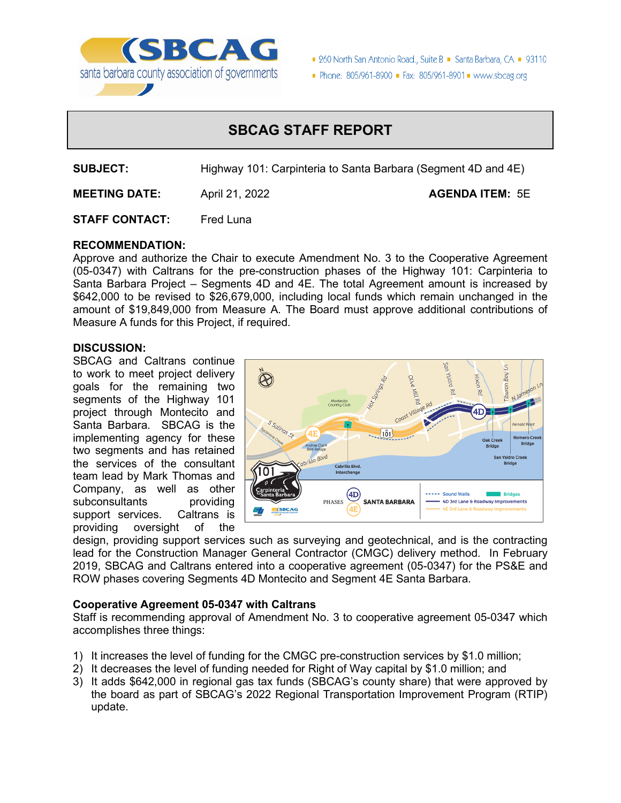

■ 260 North San Antonio Road., Suite B ■ Santa Barbara, CA ■ 93110

Phone: 805/961-8900 Fax: 805/961-8901 Www.sbcag.org

# **SBCAG STAFF REPORT**

**SUBJECT:** Highway 101: Carpinteria to Santa Barbara (Segment 4D and 4E)

**MEETING DATE:** April 21, 2022 **Agent AGENDA ITEM:** 5E

**STAFF CONTACT:** Fred Luna

## **RECOMMENDATION:**

Approve and authorize the Chair to execute Amendment No. 3 to the Cooperative Agreement (05-0347) with Caltrans for the pre-construction phases of the Highway 101: Carpinteria to Santa Barbara Project – Segments 4D and 4E. The total Agreement amount is increased by \$642,000 to be revised to \$26,679,000, including local funds which remain unchanged in the amount of \$19,849,000 from Measure A. The Board must approve additional contributions of Measure A funds for this Project, if required.

### **DISCUSSION:**

SBCAG and Caltrans continue to work to meet project delivery goals for the remaining two segments of the Highway 101 project through Montecito and Santa Barbara. SBCAG is the implementing agency for these two segments and has retained the services of the consultant team lead by Mark Thomas and Company, as well as other subconsultants providing<br>support services. Caltrans is support services. providing oversight of the



design, providing support services such as surveying and geotechnical, and is the contracting lead for the Construction Manager General Contractor (CMGC) delivery method. In February 2019, SBCAG and Caltrans entered into a cooperative agreement (05-0347) for the PS&E and ROW phases covering Segments 4D Montecito and Segment 4E Santa Barbara.

### **Cooperative Agreement 05-0347 with Caltrans**

Staff is recommending approval of Amendment No. 3 to cooperative agreement 05-0347 which accomplishes three things:

- 1) It increases the level of funding for the CMGC pre-construction services by \$1.0 million;
- 2) It decreases the level of funding needed for Right of Way capital by \$1.0 million; and
- 3) It adds \$642,000 in regional gas tax funds (SBCAG's county share) that were approved by the board as part of SBCAG's 2022 Regional Transportation Improvement Program (RTIP) update.